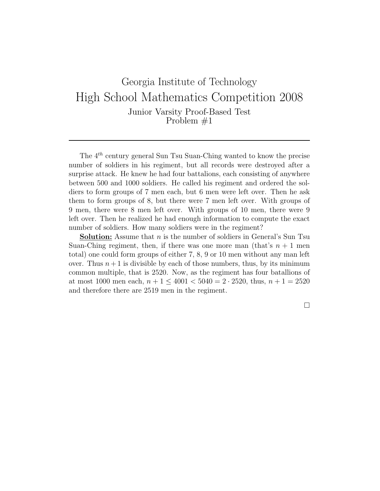The  $4^{th}$  century general Sun Tsu Suan-Ching wanted to know the precise number of soldiers in his regiment, but all records were destroyed after a surprise attack. He knew he had four battalions, each consisting of anywhere between 500 and 1000 soldiers. He called his regiment and ordered the soldiers to form groups of 7 men each, but 6 men were left over. Then he ask them to form groups of 8, but there were 7 men left over. With groups of 9 men, there were 8 men left over. With groups of 10 men, there were 9 left over. Then he realized he had enough information to compute the exact number of soldiers. How many soldiers were in the regiment?

**Solution:** Assume that  $n$  is the number of soldiers in General's Sun Tsu Suan-Ching regiment, then, if there was one more man (that's  $n+1$  men total) one could form groups of either 7, 8, 9 or 10 men without any man left over. Thus  $n+1$  is divisible by each of those numbers, thus, by its minimum common multiple, that is 2520. Now, as the regiment has four batallions of at most 1000 men each,  $n + 1 \leq 4001 < 5040 = 2 \cdot 2520$ , thus,  $n + 1 = 2520$ and therefore there are 2519 men in the regiment.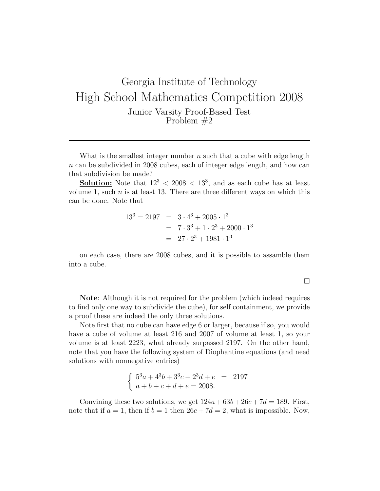What is the smallest integer number  $n$  such that a cube with edge length  $n \text{ can be subdivided in 2008 cubes, each of integer edge length, and how can$ that subdivision be made?

**Solution:** Note that  $12^3 < 2008 < 13^3$ , and as each cube has at least volume 1, such  $n$  is at least 13. There are three different ways on which this can be done. Note that

$$
133 = 2197 = 3 \cdot 43 + 2005 \cdot 13
$$
  
= 7 \cdot 3<sup>3</sup> + 1 \cdot 2<sup>3</sup> + 2000 \cdot 1<sup>3</sup>  
= 27 \cdot 2<sup>3</sup> + 1981 \cdot 1<sup>3</sup>

on each case, there are 2008 cubes, and it is possible to assamble them into a cube.

 $\Box$ 

Note: Although it is not required for the problem (which indeed requires to find only one way to subdivide the cube), for self containment, we provide a proof these are indeed the only three solutions.

Note first that no cube can have edge 6 or larger, because if so, you would have a cube of volume at least 216 and 2007 of volume at least 1, so your volume is at least 2223, what already surpassed 2197. On the other hand, note that you have the following system of Diophantine equations (and need solutions with nonnegative entries)

$$
\begin{cases} 5^3a + 4^3b + 3^3c + 2^3d + e = 2197 \\ a + b + c + d + e = 2008. \end{cases}
$$

Convining these two solutions, we get  $124a + 63b + 26c + 7d = 189$ . First, note that if  $a = 1$ , then if  $b = 1$  then  $26c + 7d = 2$ , what is impossible. Now,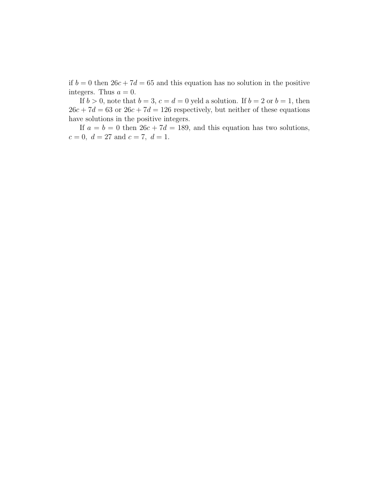if  $b = 0$  then  $26c + 7d = 65$  and this equation has no solution in the positive integers. Thus  $a = 0$ .

If  $b > 0$ , note that  $b = 3$ ,  $c = d = 0$  yeld a solution. If  $b = 2$  or  $b = 1$ , then  $26c + 7d = 63$  or  $26c + 7d = 126$  respectively, but neither of these equations have solutions in the positive integers.

If  $a = b = 0$  then  $26c + 7d = 189$ , and this equation has two solutions,  $c = 0, d = 27 \text{ and } c = 7, d = 1.$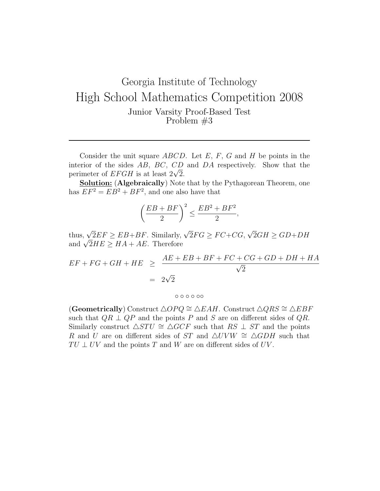Consider the unit square  $ABCD$ . Let E, F, G and H be points in the interior of the sides AB, BC, CD and DA respectively. Show that the merior of the sides  $AB$ ,  $BC$ ,  $CD$ <br>perimeter of  $EFGH$  is at least  $2\sqrt{2}$ .

Solution: (Algebraically) Note that by the Pythagorean Theorem, one has  $EF^2 = EB^2 + BF^2$ , and one also have that

$$
\left(\frac{EB+BF}{2}\right)^2 \le \frac{EB^2 + BF^2}{2},
$$

thus,  $\sqrt{2}EF \geq EB + BF$ . Similarly,  $\sqrt{2}FG \geq FC + CG$ , √  $2GH \ge GD+DH$ thus,  $\sqrt{2}EF \ge EB + BF$ . Similarly,<br>and  $\sqrt{2}HE \ge HA + AE$ . Therefore

$$
EF + FG + GH + HE \geq \frac{AE + EB + BF + FC + CG + GD + DH + HA}{\sqrt{2}}
$$
  
=  $2\sqrt{2}$ 

◦ ◦ ◦ ◦ ◦◦

(Geometrically) Construct  $\triangle OPQ \cong \triangle EAH$ . Construct  $\triangle QRS \cong \triangle EBF$ such that  $QR \perp QP$  and the points P and S are on different sides of QR. Similarly construct  $\triangle STU \cong \triangle GCF$  such that  $RS \perp ST$  and the points R and U are on different sides of ST and  $\triangle UVW \cong \triangle GDH$  such that  $TU \perp UV$  and the points T and W are on different sides of UV.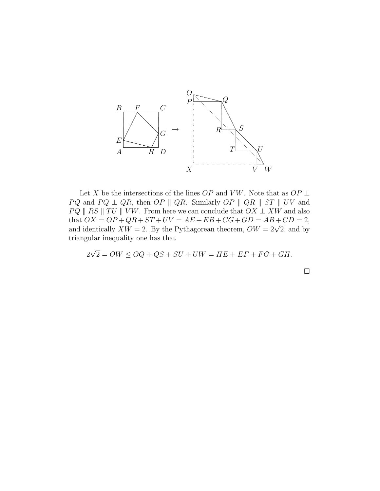

Let  $X$  be the intersections of the lines<br>  $OP$  and  $VW.$  Note that as<br>  $OP \perp$  $PQ$  and  $PQ \perp QR$ , then  $OP \parallel QR$ . Similarly  $OP \parallel QR \parallel ST \parallel UV$  and  $PQ \parallel RS \parallel TU \parallel VW$ . From here we can conclude that  $OX \perp XW$  and also that  $OX = OP + QR + ST + UV = AE + EB + CG + GD = AB + CD = 2$ , and identically  $XW = 2$ . By the Pythagorean theorem,  $OW = 2\sqrt{2}$ , and by triangular inequality one has that

$$
2\sqrt{2} = OW \le OQ + QS + SU + UW = HE + EF + FG + GH.
$$

 $\Box$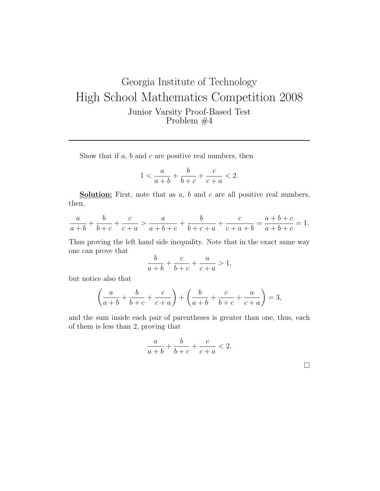Show that if  $a, b$  and  $c$  are positive real numbers, then

$$
1 < \frac{a}{a+b} + \frac{b}{b+c} + \frac{c}{c+a} < 2.
$$

**Solution:** First, note that as  $a, b$  and  $c$  are all positive real numbers, then,

$$
\frac{a}{a+b} + \frac{b}{b+c} + \frac{c}{c+a} > \frac{a}{a+b+c} + \frac{b}{b+c+a} + \frac{c}{c+a+b} = \frac{a+b+c}{a+b+c} = 1.
$$

Thus proving the left hand side inequality. Note that in the exact same way one can prove that

$$
\frac{b}{a+b} + \frac{c}{b+c} + \frac{a}{c+a} > 1,
$$

but notice also that

$$
\left(\frac{a}{a+b} + \frac{b}{b+c} + \frac{c}{c+a}\right) + \left(\frac{b}{a+b} + \frac{c}{b+c} + \frac{a}{c+a}\right) = 3,
$$

and the sum inside each pair of parentheses is greater than one, thus, each of them is less than 2, proving that

$$
\frac{a}{a+b} + \frac{b}{b+c} + \frac{c}{c+a} < 2.
$$